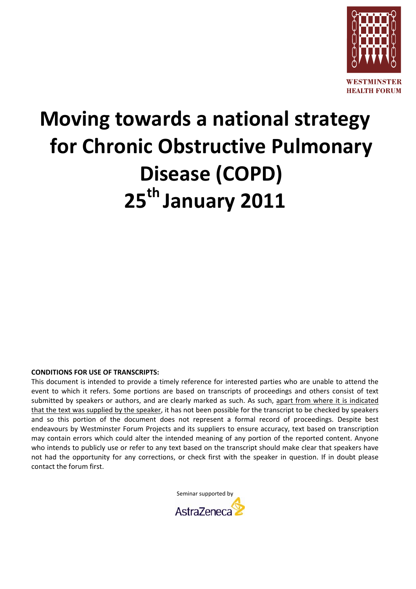

## **Moving towards a national strategy for Chronic Obstructive Pulmonary Disease (COPD) 25th January 2011**

## **CONDITIONS FOR USE OF TRANSCRIPTS:**

This document is intended to provide a timely reference for interested parties who are unable to attend the event to which it refers. Some portions are based on transcripts of proceedings and others consist of text submitted by speakers or authors, and are clearly marked as such. As such, apart from where it is indicated that the text was supplied by the speaker, it has not been possible for the transcript to be checked by speakers and so this portion of the document does not represent a formal record of proceedings. Despite best endeavours by Westminster Forum Projects and its suppliers to ensure accuracy, text based on transcription may contain errors which could alter the intended meaning of any portion of the reported content. Anyone who intends to publicly use or refer to any text based on the transcript should make clear that speakers have not had the opportunity for any corrections, or check first with the speaker in question. If in doubt please contact the forum first.

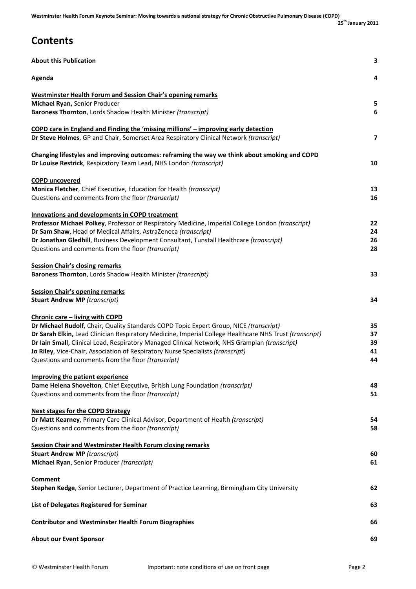| <b>About this Publication</b>                                                                                                                                                                                                                                                                                                                                                                                                                                                  | 3                          |
|--------------------------------------------------------------------------------------------------------------------------------------------------------------------------------------------------------------------------------------------------------------------------------------------------------------------------------------------------------------------------------------------------------------------------------------------------------------------------------|----------------------------|
| Agenda                                                                                                                                                                                                                                                                                                                                                                                                                                                                         | 4                          |
| <b>Westminster Health Forum and Session Chair's opening remarks</b><br>Michael Ryan, Senior Producer<br>Baroness Thornton, Lords Shadow Health Minister (transcript)                                                                                                                                                                                                                                                                                                           | 5<br>6                     |
| <b>COPD care in England and Finding the 'missing millions' - improving early detection</b><br>Dr Steve Holmes, GP and Chair, Somerset Area Respiratory Clinical Network (transcript)                                                                                                                                                                                                                                                                                           | 7                          |
| Changing lifestyles and improving outcomes: reframing the way we think about smoking and COPD<br>Dr Louise Restrick, Respiratory Team Lead, NHS London (transcript)                                                                                                                                                                                                                                                                                                            | 10                         |
| <b>COPD uncovered</b><br>Monica Fletcher, Chief Executive, Education for Health (transcript)<br>Questions and comments from the floor (transcript)                                                                                                                                                                                                                                                                                                                             | 13<br>16                   |
| <b>Innovations and developments in COPD treatment</b><br>Professor Michael Polkey, Professor of Respiratory Medicine, Imperial College London (transcript)<br>Dr Sam Shaw, Head of Medical Affairs, AstraZeneca (transcript)<br>Dr Jonathan Gledhill, Business Development Consultant, Tunstall Healthcare (transcript)<br>Questions and comments from the floor (transcript)                                                                                                  | 22<br>24<br>26<br>28       |
| <b>Session Chair's closing remarks</b><br>Baroness Thornton, Lords Shadow Health Minister (transcript)                                                                                                                                                                                                                                                                                                                                                                         | 33                         |
| <b>Session Chair's opening remarks</b><br><b>Stuart Andrew MP (transcript)</b>                                                                                                                                                                                                                                                                                                                                                                                                 | 34                         |
| Chronic care - living with COPD<br>Dr Michael Rudolf, Chair, Quality Standards COPD Topic Expert Group, NICE (transcript)<br>Dr Sarah Elkin, Lead Clinician Respiratory Medicine, Imperial College Healthcare NHS Trust (transcript)<br>Dr Iain Small, Clinical Lead, Respiratory Managed Clinical Network, NHS Grampian (transcript)<br>Jo Riley, Vice-Chair, Association of Respiratory Nurse Specialists (transcript)<br>Questions and comments from the floor (transcript) | 35<br>37<br>39<br>41<br>44 |
| <b>Improving the patient experience</b><br>Dame Helena Shovelton, Chief Executive, British Lung Foundation (transcript)<br>Questions and comments from the floor (transcript)                                                                                                                                                                                                                                                                                                  | 48<br>51                   |
| <b>Next stages for the COPD Strategy</b><br>Dr Matt Kearney, Primary Care Clinical Advisor, Department of Health (transcript)<br>Questions and comments from the floor (transcript)                                                                                                                                                                                                                                                                                            | 54<br>58                   |
| <b>Session Chair and Westminster Health Forum closing remarks</b><br><b>Stuart Andrew MP (transcript)</b><br>Michael Ryan, Senior Producer (transcript)                                                                                                                                                                                                                                                                                                                        | 60<br>61                   |
| <b>Comment</b><br>Stephen Kedge, Senior Lecturer, Department of Practice Learning, Birmingham City University                                                                                                                                                                                                                                                                                                                                                                  | 62                         |
| List of Delegates Registered for Seminar                                                                                                                                                                                                                                                                                                                                                                                                                                       | 63                         |
| <b>Contributor and Westminster Health Forum Biographies</b>                                                                                                                                                                                                                                                                                                                                                                                                                    | 66                         |
| <b>About our Event Sponsor</b>                                                                                                                                                                                                                                                                                                                                                                                                                                                 | 69                         |